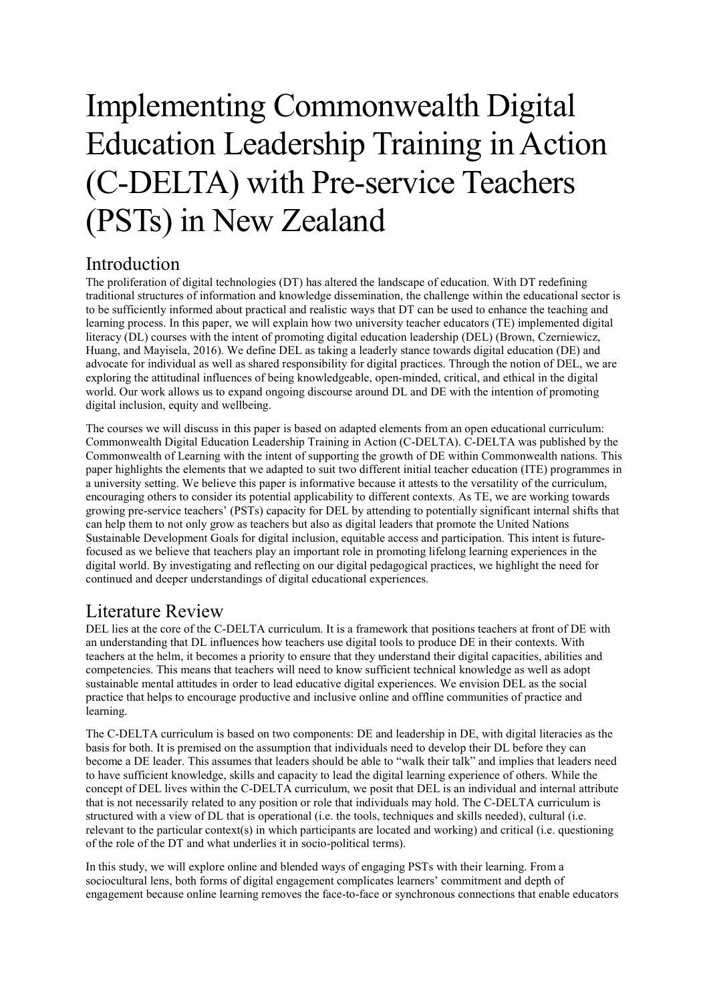# Implementing Commonwealth Digital Education Leadership Training in Action (C-DELTA) with Pre-service Teachers (PSTs) in New Zealand

## Introduction

The proliferation of digital technologies (DT) has altered the landscape of education. With DT redefining traditional structures of information and knowledge dissemination, the challenge within the educational sector is to be sufficiently informed about practical and realistic ways that DT can be used to enhance the teaching and learning process. In this paper, we will explain how two university teacher educators (TE) implemented digital literacy (DL) courses with the intent of promoting digital education leadership (DEL) (Brown, Czerniewicz, Huang, and Mayisela, 2016). We define DEL as taking a leaderly stance towards digital education (DE) and advocate for individual as well as shared responsibility for digital practices. Through the notion of DEL, we are exploring the attitudinal influences of being knowledgeable, open-minded, critical, and ethical in the digital world. Our work allows us to expand ongoing discourse around DL and DE with the intention of promoting digital inclusion, equity and wellbeing.

The courses we will discuss in this paper is based on adapted elements from an open educational curriculum: Commonwealth Digital Education Leadership Training in Action (C-DELTA). C-DELTA was published by the Commonwealth of Learning with the intent of supporting the growth of DE within Commonwealth nations. This paper highlights the elements that we adapted to suit two different initial teacher education (ITE) programmes in a university setting. We believe this paper is informative because it attests to the versatility of the curriculum, encouraging others to consider its potential applicability to different contexts. As TE, we are working towards growing pre-service teachers' (PSTs) capacity for DEL by attending to potentially significant internal shifts that can help them to not only grow as teachers but also as digital leaders that promote the United Nations Sustainable Development Goals for digital inclusion, equitable access and participation. This intent is futurefocused as we believe that teachers play an important role in promoting lifelong learning experiences in the digital world. By investigating and reflecting on our digital pedagogical practices, we highlight the need for continued and deeper understandings of digital educational experiences.

## Literature Review

DEL lies at the core of the C-DELTA curriculum. It is a framework that positions teachers at front of DE with an understanding that DL influences how teachers use digital tools to produce DE in their contexts. With teachers at the helm, it becomes a priority to ensure that they understand their digital capacities, abilities and competencies. This means that teachers will need to know sufficient technical knowledge as well as adopt sustainable mental attitudes in order to lead educative digital experiences. We envision DEL as the social practice that helps to encourage productive and inclusive online and offline communities of practice and learning.

The C-DELTA curriculum is based on two components: DE and leadership in DE, with digital literacies as the basis for both. It is premised on the assumption that individuals need to develop their DL before they can become a DE leader. This assumes that leaders should be able to "walk their talk" and implies that leaders need to have sufficient knowledge, skills and capacity to lead the digital learning experience of others. While the concept of DEL lives within the C-DELTA curriculum, we posit that DEL is an individual and internal attribute that is not necessarily related to any position or role that individuals may hold. The C-DELTA curriculum is structured with a view of DL that is operational (i.e. the tools, techniques and skills needed), cultural (i.e. relevant to the particular context(s) in which participants are located and working) and critical (i.e. questioning of the role of the DT and what underlies it in socio-political terms).

In this study, we will explore online and blended ways of engaging PSTs with their learning. From a sociocultural lens, both forms of digital engagement complicates learners' commitment and depth of engagement because online learning removes the face-to-face or synchronous connections that enable educators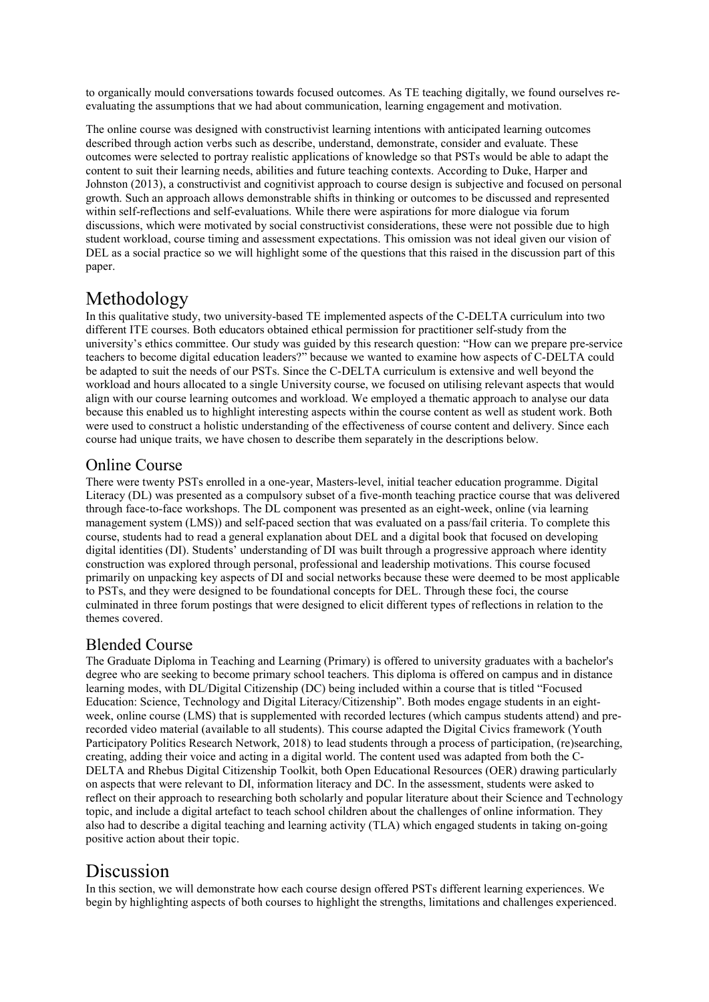to organically mould conversations towards focused outcomes. As TE teaching digitally, we found ourselves reevaluating the assumptions that we had about communication, learning engagement and motivation.

The online course was designed with constructivist learning intentions with anticipated learning outcomes described through action verbs such as describe, understand, demonstrate, consider and evaluate. These outcomes were selected to portray realistic applications of knowledge so that PSTs would be able to adapt the content to suit their learning needs, abilities and future teaching contexts. According to Duke, Harper and Johnston (2013), a constructivist and cognitivist approach to course design is subjective and focused on personal growth. Such an approach allows demonstrable shifts in thinking or outcomes to be discussed and represented within self-reflections and self-evaluations. While there were aspirations for more dialogue via forum discussions, which were motivated by social constructivist considerations, these were not possible due to high student workload, course timing and assessment expectations. This omission was not ideal given our vision of DEL as a social practice so we will highlight some of the questions that this raised in the discussion part of this paper.

## Methodology

In this qualitative study, two university-based TE implemented aspects of the C-DELTA curriculum into two different ITE courses. Both educators obtained ethical permission for practitioner self-study from the university's ethics committee. Our study was guided by this research question: "How can we prepare pre-service teachers to become digital education leaders?" because we wanted to examine how aspects of C-DELTA could be adapted to suit the needs of our PSTs. Since the C-DELTA curriculum is extensive and well beyond the workload and hours allocated to a single University course, we focused on utilising relevant aspects that would align with our course learning outcomes and workload. We employed a thematic approach to analyse our data because this enabled us to highlight interesting aspects within the course content as well as student work. Both were used to construct a holistic understanding of the effectiveness of course content and delivery. Since each course had unique traits, we have chosen to describe them separately in the descriptions below.

#### Online Course

There were twenty PSTs enrolled in a one-year, Masters-level, initial teacher education programme. Digital Literacy (DL) was presented as a compulsory subset of a five-month teaching practice course that was delivered through face-to-face workshops. The DL component was presented as an eight-week, online (via learning management system (LMS)) and self-paced section that was evaluated on a pass/fail criteria. To complete this course, students had to read a general explanation about DEL and a digital book that focused on developing digital identities (DI). Students' understanding of DI was built through a progressive approach where identity construction was explored through personal, professional and leadership motivations. This course focused primarily on unpacking key aspects of DI and social networks because these were deemed to be most applicable to PSTs, and they were designed to be foundational concepts for DEL. Through these foci, the course culminated in three forum postings that were designed to elicit different types of reflections in relation to the themes covered.

#### Blended Course

The Graduate Diploma in Teaching and Learning (Primary) is offered to university graduates with a bachelor's degree who are seeking to become primary school teachers. This diploma is offered on campus and in distance learning modes, with DL/Digital Citizenship (DC) being included within a course that is titled "Focused Education: Science, Technology and Digital Literacy/Citizenship". Both modes engage students in an eightweek, online course (LMS) that is supplemented with recorded lectures (which campus students attend) and prerecorded video material (available to all students). This course adapted the Digital Civics framework (Youth Participatory Politics Research Network, 2018) to lead students through a process of participation, (re)searching, creating, adding their voice and acting in a digital world. The content used was adapted from both the C-DELTA and Rhebus Digital Citizenship Toolkit, both Open Educational Resources (OER) drawing particularly on aspects that were relevant to DI, information literacy and DC. In the assessment, students were asked to reflect on their approach to researching both scholarly and popular literature about their Science and Technology topic, and include a digital artefact to teach school children about the challenges of online information. They also had to describe a digital teaching and learning activity (TLA) which engaged students in taking on-going positive action about their topic.

## Discussion

In this section, we will demonstrate how each course design offered PSTs different learning experiences. We begin by highlighting aspects of both courses to highlight the strengths, limitations and challenges experienced.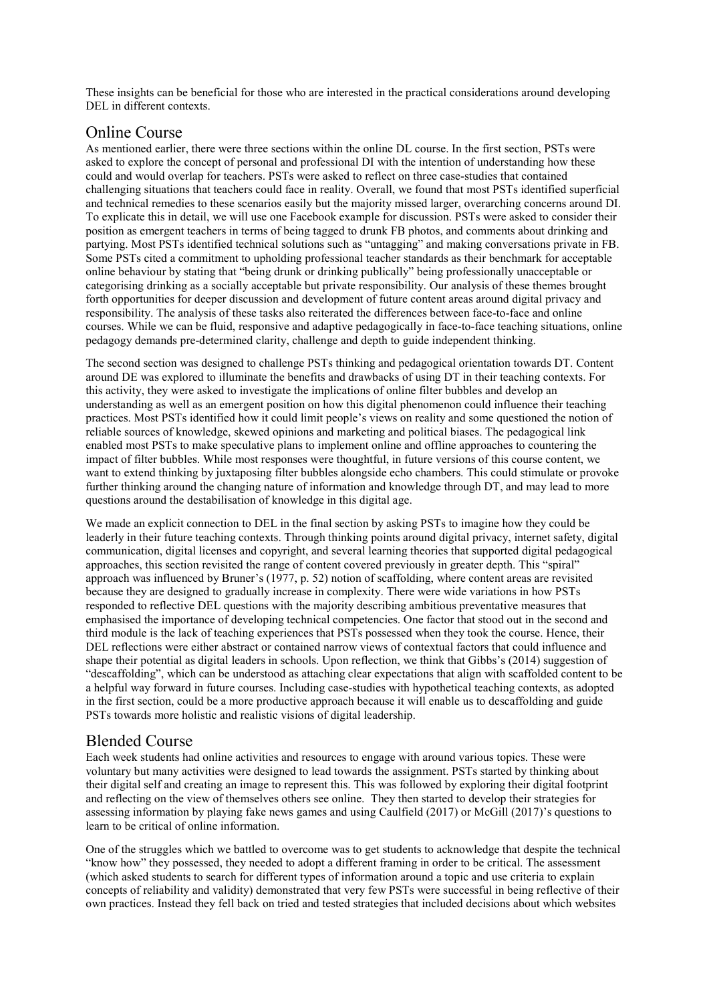These insights can be beneficial for those who are interested in the practical considerations around developing DEL in different contexts.

#### Online Course

As mentioned earlier, there were three sections within the online DL course. In the first section, PSTs were asked to explore the concept of personal and professional DI with the intention of understanding how these could and would overlap for teachers. PSTs were asked to reflect on three case-studies that contained challenging situations that teachers could face in reality. Overall, we found that most PSTs identified superficial and technical remedies to these scenarios easily but the majority missed larger, overarching concerns around DI. To explicate this in detail, we will use one Facebook example for discussion. PSTs were asked to consider their position as emergent teachers in terms of being tagged to drunk FB photos, and comments about drinking and partying. Most PSTs identified technical solutions such as "untagging" and making conversations private in FB. Some PSTs cited a commitment to upholding professional teacher standards as their benchmark for acceptable online behaviour by stating that "being drunk or drinking publically" being professionally unacceptable or categorising drinking as a socially acceptable but private responsibility. Our analysis of these themes brought forth opportunities for deeper discussion and development of future content areas around digital privacy and responsibility. The analysis of these tasks also reiterated the differences between face-to-face and online courses. While we can be fluid, responsive and adaptive pedagogically in face-to-face teaching situations, online pedagogy demands pre-determined clarity, challenge and depth to guide independent thinking.

The second section was designed to challenge PSTs thinking and pedagogical orientation towards DT. Content around DE was explored to illuminate the benefits and drawbacks of using DT in their teaching contexts. For this activity, they were asked to investigate the implications of online filter bubbles and develop an understanding as well as an emergent position on how this digital phenomenon could influence their teaching practices. Most PSTs identified how it could limit people's views on reality and some questioned the notion of reliable sources of knowledge, skewed opinions and marketing and political biases. The pedagogical link enabled most PSTs to make speculative plans to implement online and offline approaches to countering the impact of filter bubbles. While most responses were thoughtful, in future versions of this course content, we want to extend thinking by juxtaposing filter bubbles alongside echo chambers. This could stimulate or provoke further thinking around the changing nature of information and knowledge through DT, and may lead to more questions around the destabilisation of knowledge in this digital age.

We made an explicit connection to DEL in the final section by asking PSTs to imagine how they could be leaderly in their future teaching contexts. Through thinking points around digital privacy, internet safety, digital communication, digital licenses and copyright, and several learning theories that supported digital pedagogical approaches, this section revisited the range of content covered previously in greater depth. This "spiral" approach was influenced by Bruner's (1977, p. 52) notion of scaffolding, where content areas are revisited because they are designed to gradually increase in complexity. There were wide variations in how PSTs responded to reflective DEL questions with the majority describing ambitious preventative measures that emphasised the importance of developing technical competencies. One factor that stood out in the second and third module is the lack of teaching experiences that PSTs possessed when they took the course. Hence, their DEL reflections were either abstract or contained narrow views of contextual factors that could influence and shape their potential as digital leaders in schools. Upon reflection, we think that Gibbs's (2014) suggestion of "descaffolding", which can be understood as attaching clear expectations that align with scaffolded content to be a helpful way forward in future courses. Including case-studies with hypothetical teaching contexts, as adopted in the first section, could be a more productive approach because it will enable us to descaffolding and guide PSTs towards more holistic and realistic visions of digital leadership.

#### Blended Course

Each week students had online activities and resources to engage with around various topics. These were voluntary but many activities were designed to lead towards the assignment. PSTs started by thinking about their digital self and creating an image to represent this. This was followed by exploring their digital footprint and reflecting on the view of themselves others see online. They then started to develop their strategies for assessing information by playing fake news games and using Caulfield (2017) or McGill (2017)'s questions to learn to be critical of online information.

One of the struggles which we battled to overcome was to get students to acknowledge that despite the technical "know how" they possessed, they needed to adopt a different framing in order to be critical. The assessment (which asked students to search for different types of information around a topic and use criteria to explain concepts of reliability and validity) demonstrated that very few PSTs were successful in being reflective of their own practices. Instead they fell back on tried and tested strategies that included decisions about which websites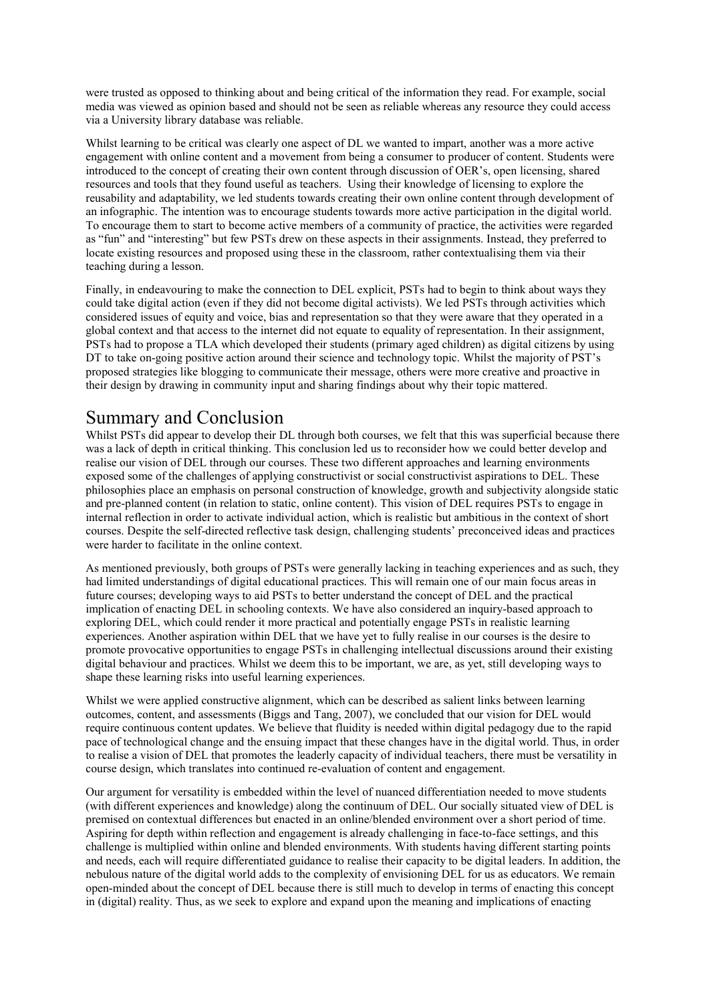were trusted as opposed to thinking about and being critical of the information they read. For example, social media was viewed as opinion based and should not be seen as reliable whereas any resource they could access via a University library database was reliable.

Whilst learning to be critical was clearly one aspect of DL we wanted to impart, another was a more active engagement with online content and a movement from being a consumer to producer of content. Students were introduced to the concept of creating their own content through discussion of OER's, open licensing, shared resources and tools that they found useful as teachers. Using their knowledge of licensing to explore the reusability and adaptability, we led students towards creating their own online content through development of an infographic. The intention was to encourage students towards more active participation in the digital world. To encourage them to start to become active members of a community of practice, the activities were regarded as "fun" and "interesting" but few PSTs drew on these aspects in their assignments. Instead, they preferred to locate existing resources and proposed using these in the classroom, rather contextualising them via their teaching during a lesson.

Finally, in endeavouring to make the connection to DEL explicit, PSTs had to begin to think about ways they could take digital action (even if they did not become digital activists). We led PSTs through activities which considered issues of equity and voice, bias and representation so that they were aware that they operated in a global context and that access to the internet did not equate to equality of representation. In their assignment, PSTs had to propose a TLA which developed their students (primary aged children) as digital citizens by using DT to take on-going positive action around their science and technology topic. Whilst the majority of PST's proposed strategies like blogging to communicate their message, others were more creative and proactive in their design by drawing in community input and sharing findings about why their topic mattered.

## Summary and Conclusion

Whilst PSTs did appear to develop their DL through both courses, we felt that this was superficial because there was a lack of depth in critical thinking. This conclusion led us to reconsider how we could better develop and realise our vision of DEL through our courses. These two different approaches and learning environments exposed some of the challenges of applying constructivist or social constructivist aspirations to DEL. These philosophies place an emphasis on personal construction of knowledge, growth and subjectivity alongside static and pre-planned content (in relation to static, online content). This vision of DEL requires PSTs to engage in internal reflection in order to activate individual action, which is realistic but ambitious in the context of short courses. Despite the self-directed reflective task design, challenging students' preconceived ideas and practices were harder to facilitate in the online context.

As mentioned previously, both groups of PSTs were generally lacking in teaching experiences and as such, they had limited understandings of digital educational practices. This will remain one of our main focus areas in future courses; developing ways to aid PSTs to better understand the concept of DEL and the practical implication of enacting DEL in schooling contexts. We have also considered an inquiry-based approach to exploring DEL, which could render it more practical and potentially engage PSTs in realistic learning experiences. Another aspiration within DEL that we have yet to fully realise in our courses is the desire to promote provocative opportunities to engage PSTs in challenging intellectual discussions around their existing digital behaviour and practices. Whilst we deem this to be important, we are, as yet, still developing ways to shape these learning risks into useful learning experiences.

Whilst we were applied constructive alignment, which can be described as salient links between learning outcomes, content, and assessments (Biggs and Tang, 2007), we concluded that our vision for DEL would require continuous content updates. We believe that fluidity is needed within digital pedagogy due to the rapid pace of technological change and the ensuing impact that these changes have in the digital world. Thus, in order to realise a vision of DEL that promotes the leaderly capacity of individual teachers, there must be versatility in course design, which translates into continued re-evaluation of content and engagement.

Our argument for versatility is embedded within the level of nuanced differentiation needed to move students (with different experiences and knowledge) along the continuum of DEL. Our socially situated view of DEL is premised on contextual differences but enacted in an online/blended environment over a short period of time. Aspiring for depth within reflection and engagement is already challenging in face-to-face settings, and this challenge is multiplied within online and blended environments. With students having different starting points and needs, each will require differentiated guidance to realise their capacity to be digital leaders. In addition, the nebulous nature of the digital world adds to the complexity of envisioning DEL for us as educators. We remain open-minded about the concept of DEL because there is still much to develop in terms of enacting this concept in (digital) reality. Thus, as we seek to explore and expand upon the meaning and implications of enacting